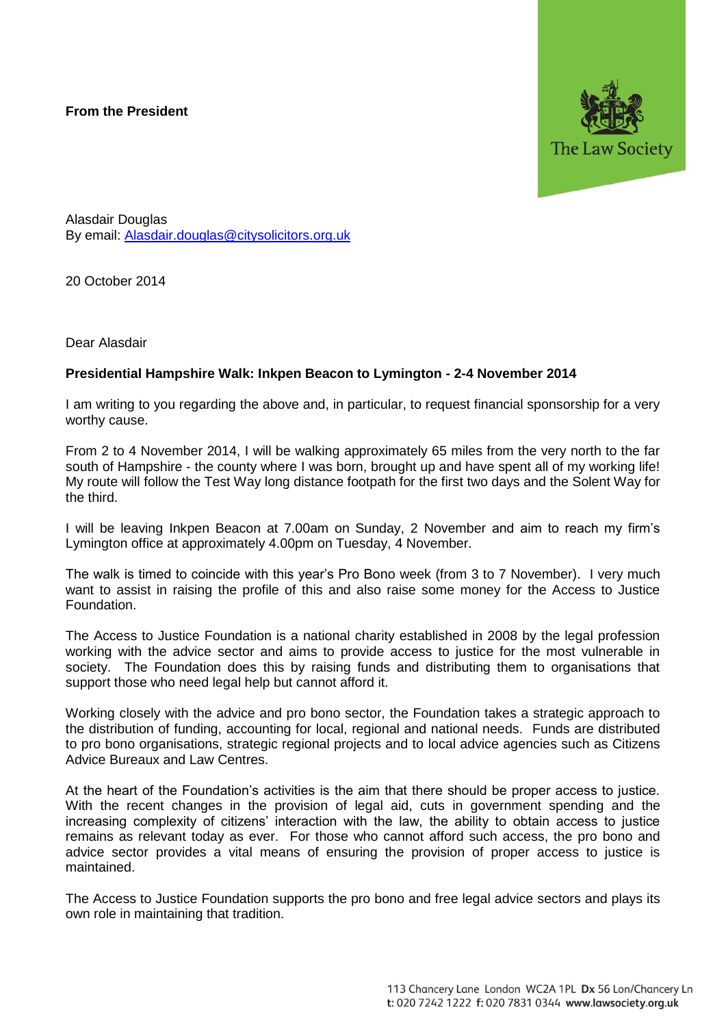## **From the President**



Alasdair Douglas By email: [Alasdair.douglas@citysolicitors.org.uk](mailto:Alasdair.douglas@citysolicitors.org.uk)

20 October 2014

Dear Alasdair

## **Presidential Hampshire Walk: Inkpen Beacon to Lymington - 2-4 November 2014**

I am writing to you regarding the above and, in particular, to request financial sponsorship for a very worthy cause.

From 2 to 4 November 2014, I will be walking approximately 65 miles from the very north to the far south of Hampshire - the county where I was born, brought up and have spent all of my working life! My route will follow the Test Way long distance footpath for the first two days and the Solent Way for the third.

I will be leaving Inkpen Beacon at 7.00am on Sunday, 2 November and aim to reach my firm's Lymington office at approximately 4.00pm on Tuesday, 4 November.

The walk is timed to coincide with this year's Pro Bono week (from 3 to 7 November). I very much want to assist in raising the profile of this and also raise some money for the Access to Justice Foundation.

The Access to Justice Foundation is a national charity established in 2008 by the legal profession working with the advice sector and aims to provide access to justice for the most vulnerable in society. The Foundation does this by raising funds and distributing them to organisations that support those who need legal help but cannot afford it.

Working closely with the advice and pro bono sector, the Foundation takes a strategic approach to the distribution of funding, accounting for local, regional and national needs. Funds are distributed to pro bono organisations, strategic regional projects and to local advice agencies such as Citizens Advice Bureaux and Law Centres.

At the heart of the Foundation's activities is the aim that there should be proper access to justice. With the recent changes in the provision of legal aid, cuts in government spending and the increasing complexity of citizens' interaction with the law, the ability to obtain access to justice remains as relevant today as ever. For those who cannot afford such access, the pro bono and advice sector provides a vital means of ensuring the provision of proper access to justice is maintained.

The Access to Justice Foundation supports the pro bono and free legal advice sectors and plays its own role in maintaining that tradition.